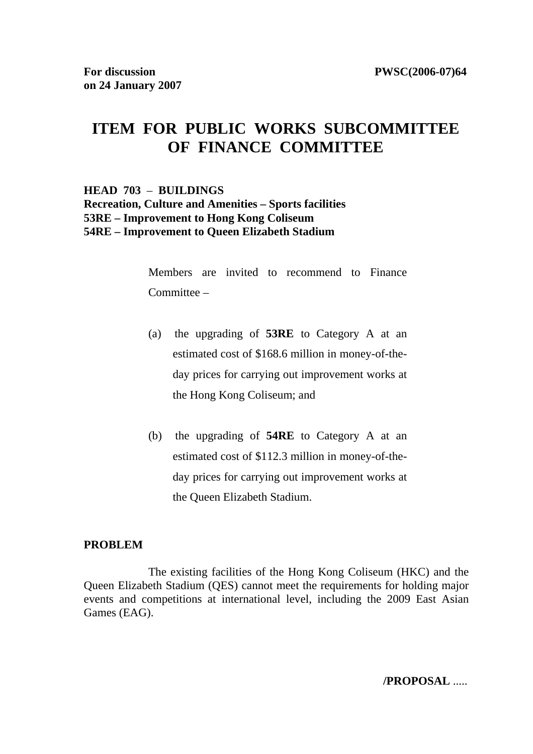# **ITEM FOR PUBLIC WORKS SUBCOMMITTEE OF FINANCE COMMITTEE**

# **HEAD 703** – **BUILDINGS Recreation, Culture and Amenities – Sports facilities 53RE – Improvement to Hong Kong Coliseum 54RE – Improvement to Queen Elizabeth Stadium**

Members are invited to recommend to Finance Committee –

- (a) the upgrading of **53RE** to Category A at an estimated cost of \$168.6 million in money-of-theday prices for carrying out improvement works at the Hong Kong Coliseum; and
- (b) the upgrading of **54RE** to Category A at an estimated cost of \$112.3 million in money-of-theday prices for carrying out improvement works at the Queen Elizabeth Stadium.

#### **PROBLEM**

The existing facilities of the Hong Kong Coliseum (HKC) and the Queen Elizabeth Stadium (QES) cannot meet the requirements for holding major events and competitions at international level, including the 2009 East Asian Games (EAG).

**/PROPOSAL** .....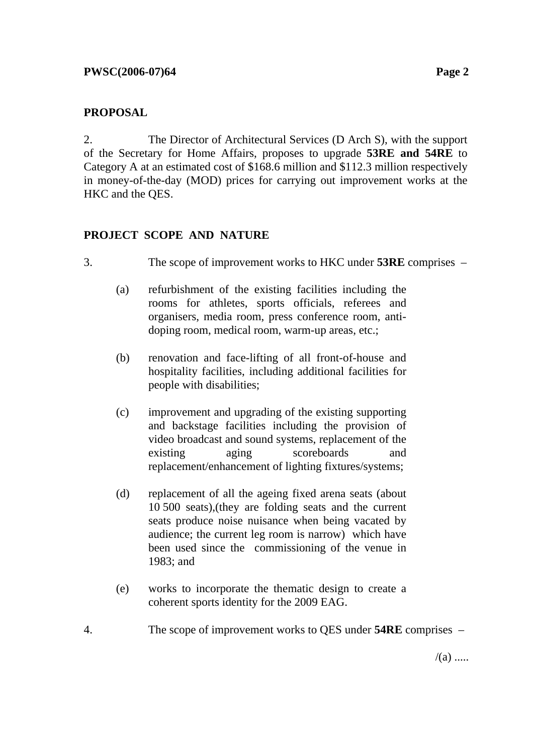# **PROPOSAL**

2. The Director of Architectural Services (D Arch S), with the support of the Secretary for Home Affairs, proposes to upgrade **53RE and 54RE** to Category A at an estimated cost of \$168.6 million and \$112.3 million respectively in money-of-the-day (MOD) prices for carrying out improvement works at the HKC and the QES.

# **PROJECT SCOPE AND NATURE**

- 3. The scope of improvement works to HKC under **53RE** comprises
	- (a) refurbishment of the existing facilities including the rooms for athletes, sports officials, referees and organisers, media room, press conference room, antidoping room, medical room, warm-up areas, etc.;
	- (b) renovation and face-lifting of all front-of-house and hospitality facilities, including additional facilities for people with disabilities;
	- (c) improvement and upgrading of the existing supporting and backstage facilities including the provision of video broadcast and sound systems, replacement of the existing aging scoreboards and replacement/enhancement of lighting fixtures/systems;
	- (d) replacement of all the ageing fixed arena seats (about 10 500 seats),(they are folding seats and the current seats produce noise nuisance when being vacated by audience; the current leg room is narrow) which have been used since the commissioning of the venue in 1983; and
	- (e) works to incorporate the thematic design to create a coherent sports identity for the 2009 EAG.
- 4. The scope of improvement works to QES under **54RE** comprises –

 $/(a)$  .....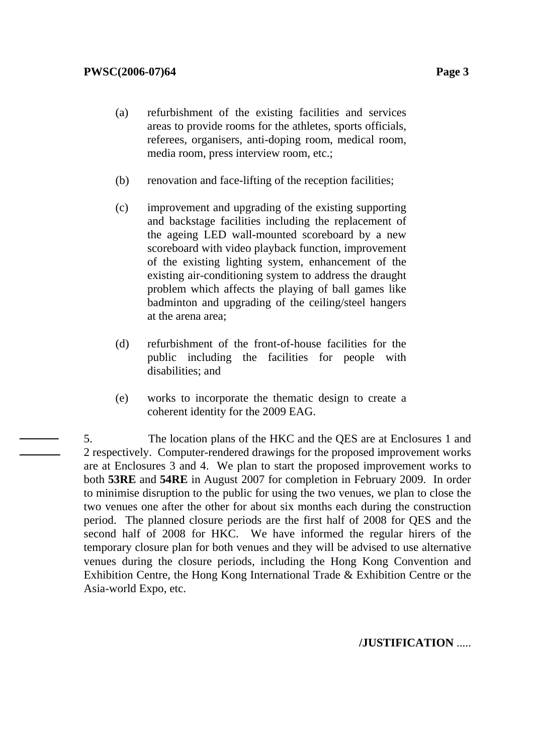- (a) refurbishment of the existing facilities and services areas to provide rooms for the athletes, sports officials, referees, organisers, anti-doping room, medical room, media room, press interview room, etc.;
- (b) renovation and face-lifting of the reception facilities;
- (c) improvement and upgrading of the existing supporting and backstage facilities including the replacement of the ageing LED wall-mounted scoreboard by a new scoreboard with video playback function, improvement of the existing lighting system, enhancement of the existing air-conditioning system to address the draught problem which affects the playing of ball games like badminton and upgrading of the ceiling/steel hangers at the arena area;
- (d) refurbishment of the front-of-house facilities for the public including the facilities for people with disabilities; and
- (e) works to incorporate the thematic design to create a coherent identity for the 2009 EAG.

5. The location plans of the HKC and the QES are at Enclosures 1 and 2 respectively. Computer-rendered drawings for the proposed improvement works are at Enclosures 3 and 4. We plan to start the proposed improvement works to both **53RE** and **54RE** in August 2007 for completion in February 2009. In order to minimise disruption to the public for using the two venues, we plan to close the two venues one after the other for about six months each during the construction period. The planned closure periods are the first half of 2008 for QES and the second half of 2008 for HKC. We have informed the regular hirers of the temporary closure plan for both venues and they will be advised to use alternative venues during the closure periods, including the Hong Kong Convention and Exhibition Centre, the Hong Kong International Trade & Exhibition Centre or the Asia-world Expo, etc.

#### **/JUSTIFICATION** .....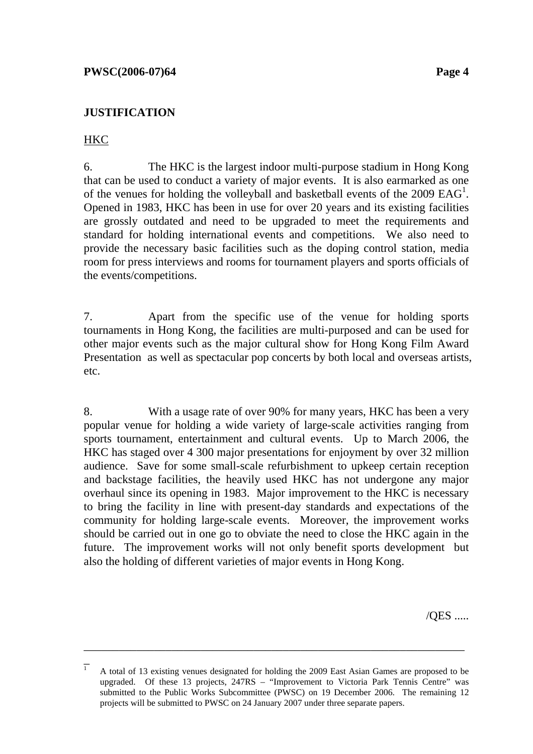## **JUSTIFICATION**

# HKC

 $\overline{a}$ 

6. The HKC is the largest indoor multi-purpose stadium in Hong Kong that can be used to conduct a variety of major events. It is also earmarked as one of the venues for holding the volleyball and basketball events of the  $2009$   $EAG<sup>1</sup>$ . Opened in 1983, HKC has been in use for over 20 years and its existing facilities are grossly outdated and need to be upgraded to meet the requirements and standard for holding international events and competitions. We also need to provide the necessary basic facilities such as the doping control station, media room for press interviews and rooms for tournament players and sports officials of the events/competitions.

7. Apart from the specific use of the venue for holding sports tournaments in Hong Kong, the facilities are multi-purposed and can be used for other major events such as the major cultural show for Hong Kong Film Award Presentation as well as spectacular pop concerts by both local and overseas artists, etc.

8. With a usage rate of over 90% for many years, HKC has been a very popular venue for holding a wide variety of large-scale activities ranging from sports tournament, entertainment and cultural events. Up to March 2006, the HKC has staged over 4 300 major presentations for enjoyment by over 32 million audience. Save for some small-scale refurbishment to upkeep certain reception and backstage facilities, the heavily used HKC has not undergone any major overhaul since its opening in 1983. Major improvement to the HKC is necessary to bring the facility in line with present-day standards and expectations of the community for holding large-scale events. Moreover, the improvement works should be carried out in one go to obviate the need to close the HKC again in the future. The improvement works will not only benefit sports development but also the holding of different varieties of major events in Hong Kong.

/QES .....

 $\overline{1}$  A total of 13 existing venues designated for holding the 2009 East Asian Games are proposed to be upgraded. Of these 13 projects, 247RS – "Improvement to Victoria Park Tennis Centre" was submitted to the Public Works Subcommittee (PWSC) on 19 December 2006. The remaining 12 projects will be submitted to PWSC on 24 January 2007 under three separate papers.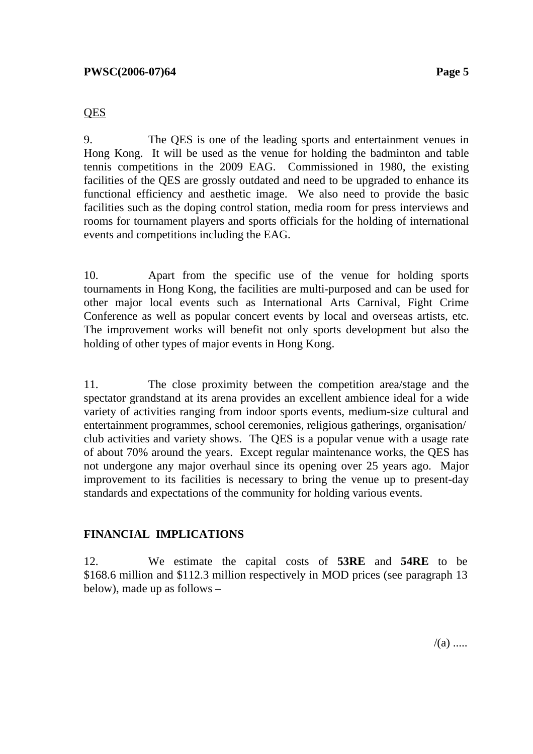#### **QES**

9. The QES is one of the leading sports and entertainment venues in Hong Kong. It will be used as the venue for holding the badminton and table tennis competitions in the 2009 EAG. Commissioned in 1980, the existing facilities of the QES are grossly outdated and need to be upgraded to enhance its functional efficiency and aesthetic image. We also need to provide the basic facilities such as the doping control station, media room for press interviews and rooms for tournament players and sports officials for the holding of international events and competitions including the EAG.

10. Apart from the specific use of the venue for holding sports tournaments in Hong Kong, the facilities are multi-purposed and can be used for other major local events such as International Arts Carnival, Fight Crime Conference as well as popular concert events by local and overseas artists, etc. The improvement works will benefit not only sports development but also the holding of other types of major events in Hong Kong.

11. The close proximity between the competition area/stage and the spectator grandstand at its arena provides an excellent ambience ideal for a wide variety of activities ranging from indoor sports events, medium-size cultural and entertainment programmes, school ceremonies, religious gatherings, organisation/ club activities and variety shows. The QES is a popular venue with a usage rate of about 70% around the years. Except regular maintenance works, the QES has not undergone any major overhaul since its opening over 25 years ago. Major improvement to its facilities is necessary to bring the venue up to present-day standards and expectations of the community for holding various events.

### **FINANCIAL IMPLICATIONS**

12. We estimate the capital costs of **53RE** and **54RE** to be \$168.6 million and \$112.3 million respectively in MOD prices (see paragraph 13 below), made up as follows –

 $/(a)$  .....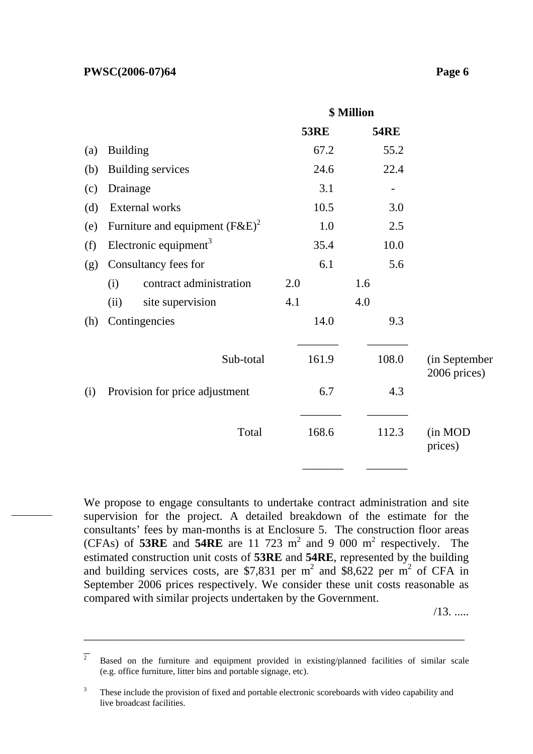#### **PWSC(2006-07)64** Page 6

|     |                 |                                    | \$ Million |             |     |             |                               |
|-----|-----------------|------------------------------------|------------|-------------|-----|-------------|-------------------------------|
|     |                 |                                    |            | <b>53RE</b> |     | <b>54RE</b> |                               |
| (a) | <b>Building</b> |                                    |            | 67.2        |     | 55.2        |                               |
| (b) |                 | <b>Building services</b>           |            | 24.6        |     | 22.4        |                               |
| (c) | Drainage        |                                    |            | 3.1         |     |             |                               |
| (d) |                 | External works                     |            | 10.5        |     | 3.0         |                               |
| (e) |                 | Furniture and equipment $(F\&E)^2$ |            | 1.0         |     | 2.5         |                               |
| (f) |                 | Electronic equipment <sup>3</sup>  |            | 35.4        |     | 10.0        |                               |
| (g) |                 | Consultancy fees for               |            | 6.1         |     | 5.6         |                               |
|     | (i)             | contract administration            | 2.0        |             | 1.6 |             |                               |
|     | (ii)            | site supervision                   | 4.1        |             | 4.0 |             |                               |
| (h) |                 | Contingencies                      |            | 14.0        |     | 9.3         |                               |
|     |                 | Sub-total                          |            | 161.9       |     | 108.0       | (in September<br>2006 prices) |
| (i) |                 | Provision for price adjustment     |            | 6.7         |     | 4.3         |                               |
|     |                 | Total                              |            | 168.6       |     | 112.3       | (in MOD<br>prices)            |

We propose to engage consultants to undertake contract administration and site supervision for the project. A detailed breakdown of the estimate for the consultants' fees by man-months is at Enclosure 5. The construction floor areas (CFAs) of **53RE** and **54RE** are 11 723  $m^2$  and 9 000  $m^2$  respectively. The estimated construction unit costs of **53RE** and **54RE**, represented by the building and building services costs, are \$7,831 per  $m^2$  and \$8,622 per  $m^2$  of CFA in September 2006 prices respectively. We consider these unit costs reasonable as compared with similar projects undertaken by the Government.

/13. .....

 $\overline{2}$  Based on the furniture and equipment provided in existing/planned facilities of similar scale (e.g. office furniture, litter bins and portable signage, etc).

<sup>3</sup> These include the provision of fixed and portable electronic scoreboards with video capability and live broadcast facilities.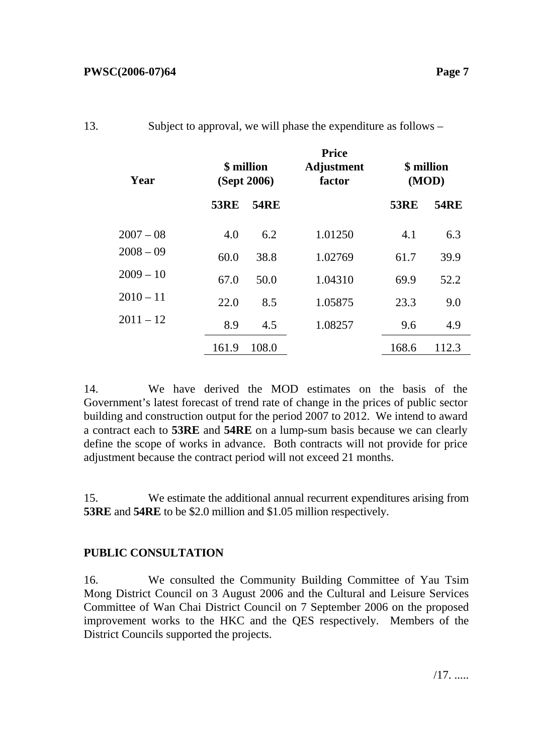| Year        | \$ million<br>(Sept 2006) |             | <b>Price</b><br><b>Adjustment</b><br>factor | \$ million<br>(MOD) |             |  |
|-------------|---------------------------|-------------|---------------------------------------------|---------------------|-------------|--|
|             | <b>53RE</b>               | <b>54RE</b> |                                             | <b>53RE</b>         | <b>54RE</b> |  |
| $2007 - 08$ | 4.0                       | 6.2         | 1.01250                                     | 4.1                 | 6.3         |  |
| $2008 - 09$ | 60.0                      | 38.8        | 1.02769                                     | 61.7                | 39.9        |  |
| $2009 - 10$ | 67.0                      | 50.0        | 1.04310                                     | 69.9                | 52.2        |  |
| $2010 - 11$ | 22.0                      | 8.5         | 1.05875                                     | 23.3                | 9.0         |  |
| $2011 - 12$ | 8.9                       | 4.5         | 1.08257                                     | 9.6                 | 4.9         |  |
|             | 161.9                     | 108.0       |                                             | 168.6               | 112.3       |  |

# 13. Subject to approval, we will phase the expenditure as follows –

14. We have derived the MOD estimates on the basis of the Government's latest forecast of trend rate of change in the prices of public sector building and construction output for the period 2007 to 2012. We intend to award a contract each to **53RE** and **54RE** on a lump-sum basis because we can clearly define the scope of works in advance. Both contracts will not provide for price adjustment because the contract period will not exceed 21 months.

15. We estimate the additional annual recurrent expenditures arising from **53RE** and **54RE** to be \$2.0 million and \$1.05 million respectively.

# **PUBLIC CONSULTATION**

16. We consulted the Community Building Committee of Yau Tsim Mong District Council on 3 August 2006 and the Cultural and Leisure Services Committee of Wan Chai District Council on 7 September 2006 on the proposed improvement works to the HKC and the QES respectively. Members of the District Councils supported the projects.

/17. .....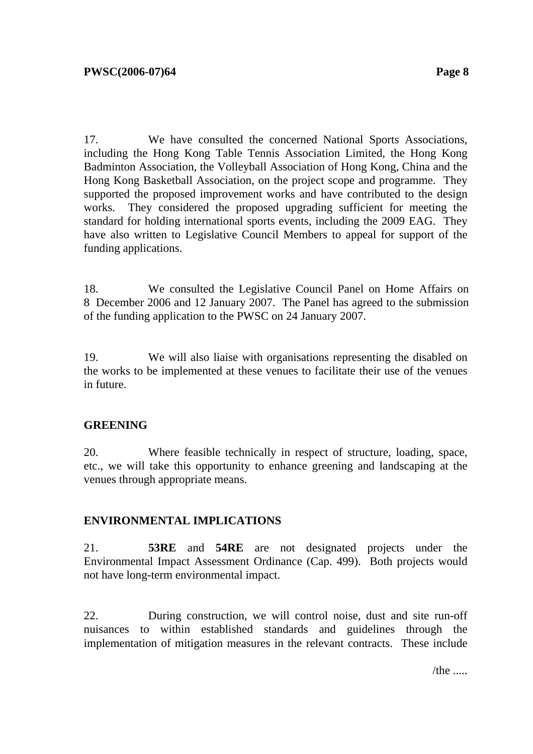17. We have consulted the concerned National Sports Associations, including the Hong Kong Table Tennis Association Limited, the Hong Kong Badminton Association, the Volleyball Association of Hong Kong, China and the Hong Kong Basketball Association, on the project scope and programme. They supported the proposed improvement works and have contributed to the design works. They considered the proposed upgrading sufficient for meeting the standard for holding international sports events, including the 2009 EAG. They have also written to Legislative Council Members to appeal for support of the funding applications.

18. We consulted the Legislative Council Panel on Home Affairs on 8 December 2006 and 12 January 2007. The Panel has agreed to the submission of the funding application to the PWSC on 24 January 2007.

19. We will also liaise with organisations representing the disabled on the works to be implemented at these venues to facilitate their use of the venues in future.

### **GREENING**

20. Where feasible technically in respect of structure, loading, space, etc., we will take this opportunity to enhance greening and landscaping at the venues through appropriate means.

### **ENVIRONMENTAL IMPLICATIONS**

21. **53RE** and **54RE** are not designated projects under the Environmental Impact Assessment Ordinance (Cap. 499). Both projects would not have long-term environmental impact.

22. During construction, we will control noise, dust and site run-off nuisances to within established standards and guidelines through the implementation of mitigation measures in the relevant contracts. These include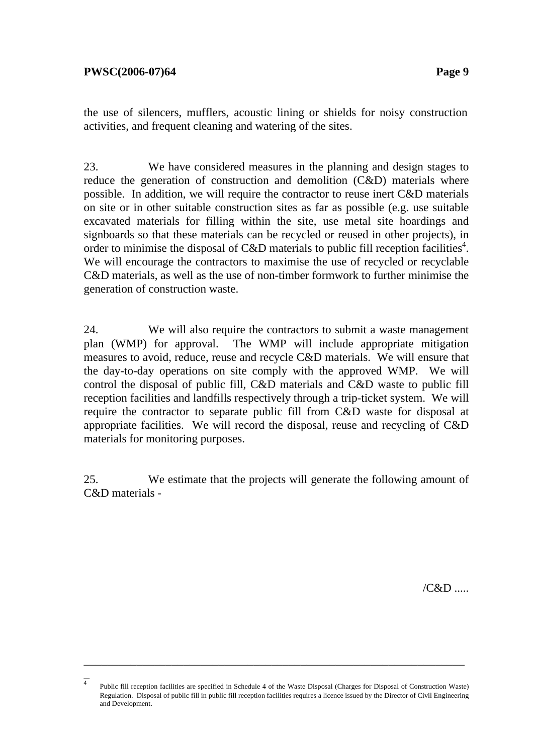the use of silencers, mufflers, acoustic lining or shields for noisy construction activities, and frequent cleaning and watering of the sites.

23. We have considered measures in the planning and design stages to reduce the generation of construction and demolition (C&D) materials where possible. In addition, we will require the contractor to reuse inert C&D materials on site or in other suitable construction sites as far as possible (e.g. use suitable excavated materials for filling within the site, use metal site hoardings and signboards so that these materials can be recycled or reused in other projects), in order to minimise the disposal of C&D materials to public fill reception facilities<sup>4</sup>. We will encourage the contractors to maximise the use of recycled or recyclable C&D materials, as well as the use of non-timber formwork to further minimise the generation of construction waste.

24. We will also require the contractors to submit a waste management plan (WMP) for approval. The WMP will include appropriate mitigation measures to avoid, reduce, reuse and recycle C&D materials. We will ensure that the day-to-day operations on site comply with the approved WMP. We will control the disposal of public fill, C&D materials and C&D waste to public fill reception facilities and landfills respectively through a trip-ticket system. We will require the contractor to separate public fill from C&D waste for disposal at appropriate facilities. We will record the disposal, reuse and recycling of C&D materials for monitoring purposes.

25. We estimate that the projects will generate the following amount of C&D materials -

/C&D .....

 $\overline{4}$ Public fill reception facilities are specified in Schedule 4 of the Waste Disposal (Charges for Disposal of Construction Waste) Regulation. Disposal of public fill in public fill reception facilities requires a licence issued by the Director of Civil Engineering and Development.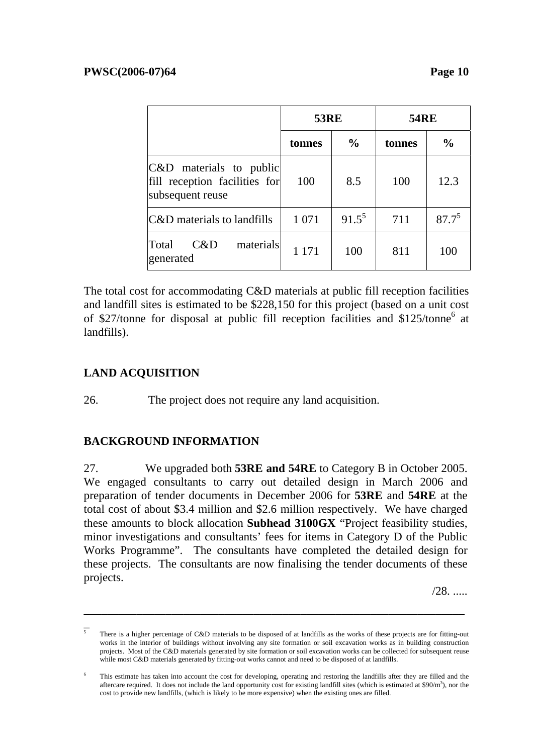|                                                                              | <b>53RE</b> |               | <b>54RE</b> |               |
|------------------------------------------------------------------------------|-------------|---------------|-------------|---------------|
|                                                                              | tonnes      | $\frac{0}{0}$ | tonnes      | $\frac{0}{0}$ |
| C&D materials to public<br>fill reception facilities for<br>subsequent reuse | 100         | 8.5           | 100         | 12.3          |
| C&D materials to landfills                                                   | 1 0 7 1     | $91.5^5$      | 711         | $87.7^{5}$    |
| Total<br>materials<br>C&D<br>generated                                       | 1 1 7 1     | 100           | 811         | 100           |

The total cost for accommodating C&D materials at public fill reception facilities and landfill sites is estimated to be \$228,150 for this project (based on a unit cost of \$27/tonne for disposal at public fill reception facilities and \$125/tonne<sup>6</sup> at landfills).

# **LAND ACQUISITION**

26. The project does not require any land acquisition.

# **BACKGROUND INFORMATION**

27. We upgraded both **53RE and 54RE** to Category B in October 2005. We engaged consultants to carry out detailed design in March 2006 and preparation of tender documents in December 2006 for **53RE** and **54RE** at the total cost of about \$3.4 million and \$2.6 million respectively. We have charged these amounts to block allocation **Subhead 3100GX** "Project feasibility studies, minor investigations and consultants' fees for items in Category D of the Public Works Programme". The consultants have completed the detailed design for these projects. The consultants are now finalising the tender documents of these projects.

 $/28.$ 

 $\overline{5}$ 5 There is a higher percentage of C&D materials to be disposed of at landfills as the works of these projects are for fitting-out works in the interior of buildings without involving any site formation or soil excavation works as in building construction projects. Most of the C&D materials generated by site formation or soil excavation works can be collected for subsequent reuse while most C&D materials generated by fitting-out works cannot and need to be disposed of at landfills.

<sup>6</sup> This estimate has taken into account the cost for developing, operating and restoring the landfills after they are filled and the aftercare required. It does not include the land opportunity cost for existing landfill sites (which is estimated at  $$90/m^3$ ), nor the cost to provide new landfills, (which is likely to be more expensive) when the existing ones are filled.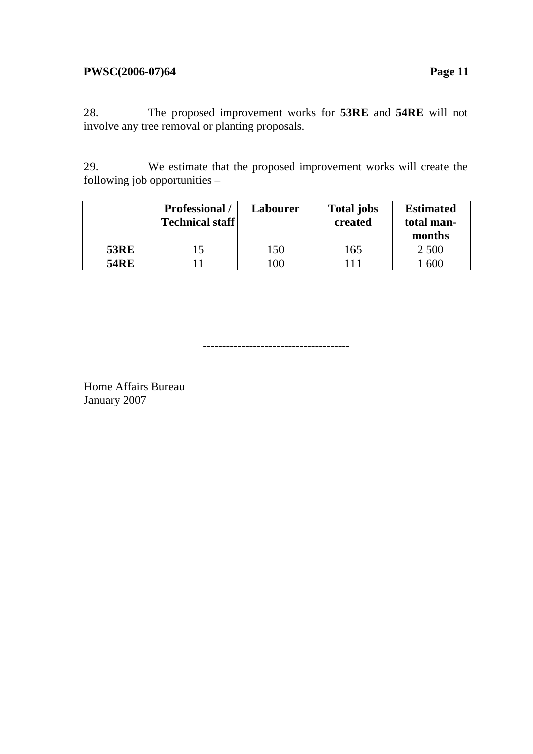#### **PWSC(2006-07)64 Page 11**

28. The proposed improvement works for **53RE** and **54RE** will not involve any tree removal or planting proposals.

29. We estimate that the proposed improvement works will create the following job opportunities –

|             | <b>Professional</b> /<br>Technical staff | Labourer     | <b>Total jobs</b><br>created | <b>Estimated</b><br>total man-<br>months |
|-------------|------------------------------------------|--------------|------------------------------|------------------------------------------|
| <b>53RE</b> |                                          | $50^{\circ}$ | 165                          | 2.500                                    |
| <b>54RE</b> |                                          | 00           | l 11                         | 600                                      |

--------------------------------------

Home Affairs Bureau January 2007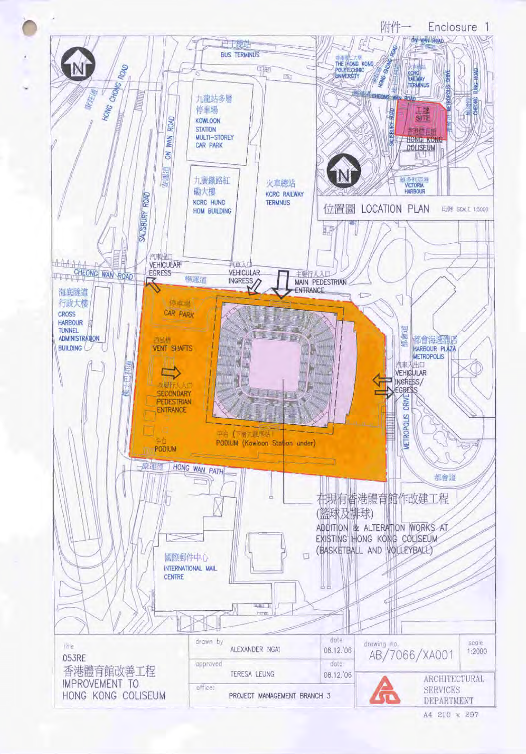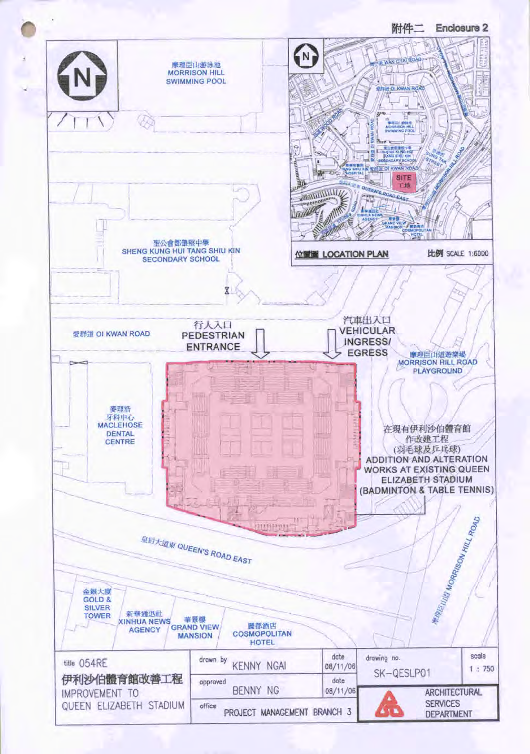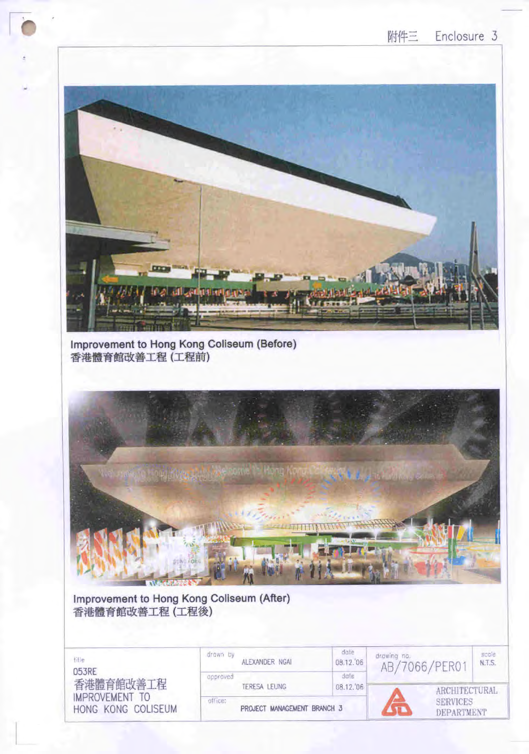

Improvement to Hong Kong Coliseum (Before) 香港體育館改善工程 (工程前)



Improvement to Hong Kong Coliseum (After) 香港體育館改善工程 (工程後)

| title<br>053RE              | drown by<br>ALEXANDER NGAL<br>approved | date<br>08.12.06<br>date | drawing no.<br>AB/7066/PER01  | scole<br>N.T.S.      |  |
|-----------------------------|----------------------------------------|--------------------------|-------------------------------|----------------------|--|
| 香港體育館改善工程<br>IMPROVEMENT TO | TERESA LEUNG                           | 08.12.06                 |                               | <b>ARCHITECTURAL</b> |  |
| HONG KONG COLISEUM          | office:<br>PROJECT MANAGEMENT BRANCH 3 |                          | <b>SERVICES</b><br>DEPARTMENT |                      |  |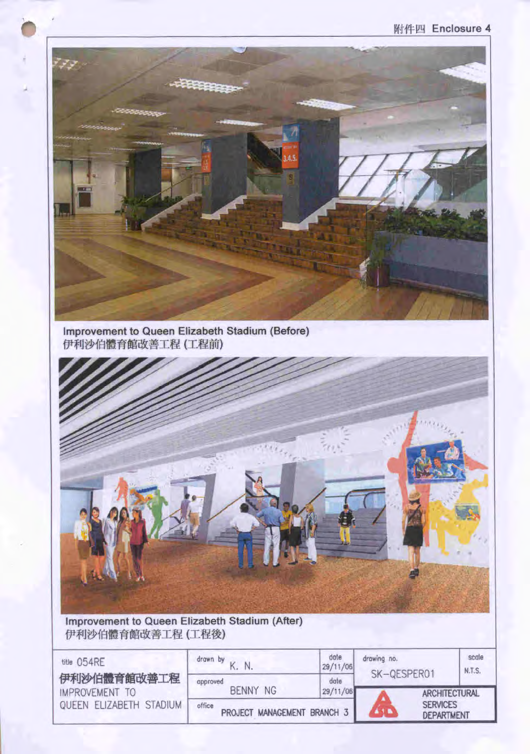

Improvement to Queen Elizabeth Stadium (Before)<br>伊利沙伯體育館改善工程 (工程前)



Improvement to Queen Elizabeth Stadium (After) 伊利沙伯體育館改善工程 (工程後)

| title 054RE<br>伊利沙伯體育館改善工程                | drawn by<br>approved                                     | dote<br>29/11/06<br>date | drawing no.<br>SK-QESPER01 |                                                       | scale<br><b>N.T.S.</b> |
|-------------------------------------------|----------------------------------------------------------|--------------------------|----------------------------|-------------------------------------------------------|------------------------|
| IMPROVEMENT TO<br>QUEEN ELIZABETH STADIUM | <b>BENNY NG</b><br>office<br>PROJECT MANAGEMENT BRANCH 3 | 29/11/06                 |                            | ARCHITECTURAL<br><b>SERVICES</b><br><b>DEPARTMENT</b> |                        |